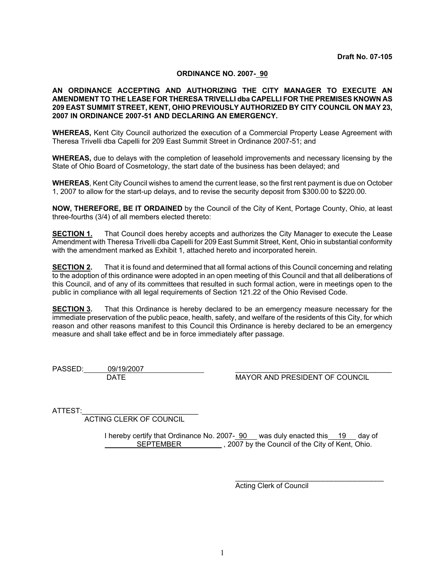## **ORDINANCE NO. 2007- 90**

## **AN ORDINANCE ACCEPTING AND AUTHORIZING THE CITY MANAGER TO EXECUTE AN AMENDMENT TO THE LEASE FOR THERESA TRIVELLI dba CAPELLI FOR THE PREMISES KNOWN AS 209 EAST SUMMIT STREET, KENT, OHIO PREVIOUSLY AUTHORIZED BY CITY COUNCIL ON MAY 23, 2007 IN ORDINANCE 2007-51 AND DECLARING AN EMERGENCY.**

**WHEREAS,** Kent City Council authorized the execution of a Commercial Property Lease Agreement with Theresa Trivelli dba Capelli for 209 East Summit Street in Ordinance 2007-51; and

**WHEREAS,** due to delays with the completion of leasehold improvements and necessary licensing by the State of Ohio Board of Cosmetology, the start date of the business has been delayed; and

**WHEREAS**, Kent City Council wishes to amend the current lease, so the first rent payment is due on October 1, 2007 to allow for the start-up delays, and to revise the security deposit from \$300.00 to \$220.00.

**NOW, THEREFORE, BE IT ORDAINED** by the Council of the City of Kent, Portage County, Ohio, at least three-fourths (3/4) of all members elected thereto:

**SECTION 1.** That Council does hereby accepts and authorizes the City Manager to execute the Lease Amendment with Theresa Trivelli dba Capelli for 209 East Summit Street, Kent, Ohio in substantial conformity with the amendment marked as Exhibit 1, attached hereto and incorporated herein.

**SECTION 2.** That it is found and determined that all formal actions of this Council concerning and relating to the adoption of this ordinance were adopted in an open meeting of this Council and that all deliberations of this Council, and of any of its committees that resulted in such formal action, were in meetings open to the public in compliance with all legal requirements of Section 121.22 of the Ohio Revised Code.

**SECTION 3.** That this Ordinance is hereby declared to be an emergency measure necessary for the immediate preservation of the public peace, health, safety, and welfare of the residents of this City, for which reason and other reasons manifest to this Council this Ordinance is hereby declared to be an emergency measure and shall take effect and be in force immediately after passage.

PASSED: 09/19/2007

DATE MAYOR AND PRESIDENT OF COUNCIL

ATTEST:

ACTING CLERK OF COUNCIL

I hereby certify that Ordinance No. 2007- 90 was duly enacted this 19 day of SEPTEMBER , 2007 by the Council of the City of Kent, Ohio.

> \_\_\_\_\_\_\_\_\_\_\_\_\_\_\_\_\_\_\_\_\_\_\_\_\_\_\_\_\_\_\_\_\_\_\_\_\_ Acting Clerk of Council